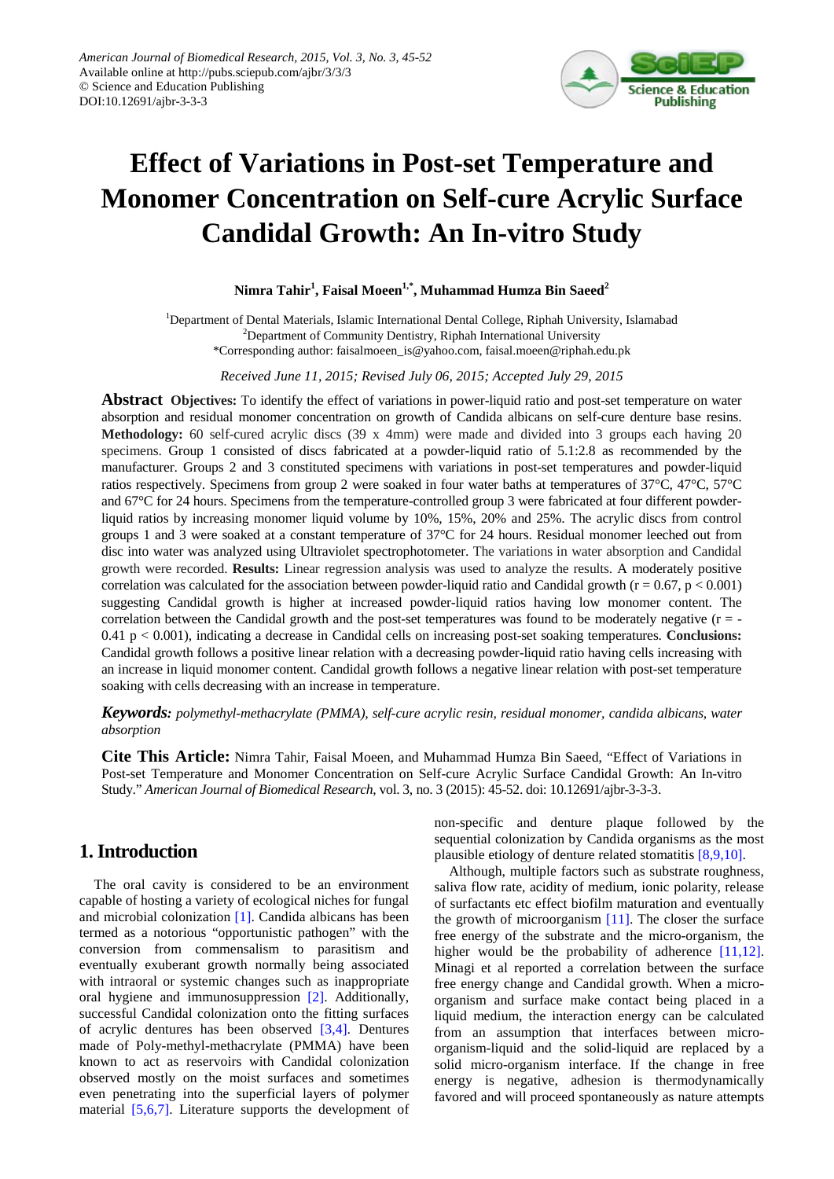

# **Effect of Variations in Post-set Temperature and Monomer Concentration on Self-cure Acrylic Surface Candidal Growth: An In-vitro Study**

## **Nimra Tahir<sup>1</sup> , Faisal Moeen1,\*, Muhammad Humza Bin Saeed2**

<sup>1</sup>Department of Dental Materials, Islamic International Dental College, Riphah University, Islamabad <sup>2</sup>Department of Community Dentistry, Riphah International University \*Corresponding author: faisalmoeen\_is@yahoo.com, faisal.moeen@riphah.edu.pk

*Received June 11, 2015; Revised July 06, 2015; Accepted July 29, 2015*

**Abstract Objectives:** To identify the effect of variations in power-liquid ratio and post-set temperature on water absorption and residual monomer concentration on growth of Candida albicans on self-cure denture base resins. **Methodology:** 60 self-cured acrylic discs (39 x 4mm) were made and divided into 3 groups each having 20 specimens. Group 1 consisted of discs fabricated at a powder-liquid ratio of 5.1:2.8 as recommended by the manufacturer. Groups 2 and 3 constituted specimens with variations in post-set temperatures and powder-liquid ratios respectively. Specimens from group 2 were soaked in four water baths at temperatures of 37°C, 47°C, 57°C and 67°C for 24 hours. Specimens from the temperature-controlled group 3 were fabricated at four different powderliquid ratios by increasing monomer liquid volume by 10%, 15%, 20% and 25%. The acrylic discs from control groups 1 and 3 were soaked at a constant temperature of 37°C for 24 hours. Residual monomer leeched out from disc into water was analyzed using Ultraviolet spectrophotometer. The variations in water absorption and Candidal growth were recorded. **Results:** Linear regression analysis was used to analyze the results. A moderately positive correlation was calculated for the association between powder-liquid ratio and Candidal growth ( $r = 0.67$ ,  $p < 0.001$ ) suggesting Candidal growth is higher at increased powder-liquid ratios having low monomer content. The correlation between the Candidal growth and the post-set temperatures was found to be moderately negative (r = -0.41 p < 0.001), indicating a decrease in Candidal cells on increasing post-set soaking temperatures. **Conclusions:** Candidal growth follows a positive linear relation with a decreasing powder-liquid ratio having cells increasing with an increase in liquid monomer content. Candidal growth follows a negative linear relation with post-set temperature soaking with cells decreasing with an increase in temperature.

*Keywords: polymethyl-methacrylate (PMMA), self-cure acrylic resin, residual monomer, candida albicans, water absorption*

**Cite This Article:** Nimra Tahir, Faisal Moeen, and Muhammad Humza Bin Saeed, "Effect of Variations in Post-set Temperature and Monomer Concentration on Self-cure Acrylic Surface Candidal Growth: An In-vitro Study." *American Journal of Biomedical Research*, vol. 3, no. 3 (2015): 45-52. doi: 10.12691/ajbr-3-3-3.

# **1. Introduction**

The oral cavity is considered to be an environment capable of hosting a variety of ecological niches for fungal and microbial colonization [\[1\].](#page-6-0) Candida albicans has been termed as a notorious "opportunistic pathogen" with the conversion from commensalism to parasitism and eventually exuberant growth normally being associated with intraoral or systemic changes such as inappropriate oral hygiene and immunosuppression [\[2\].](#page-6-1) Additionally, successful Candidal colonization onto the fitting surfaces of acrylic dentures has been observed [\[3,4\].](#page-6-2) Dentures made of Poly-methyl-methacrylate (PMMA) have been known to act as reservoirs with Candidal colonization observed mostly on the moist surfaces and sometimes even penetrating into the superficial layers of polymer material [\[5,6,7\].](#page-6-3) Literature supports the development of non-specific and denture plaque followed by the sequential colonization by Candida organisms as the most plausible etiology of denture related stomatitis [\[8,9,10\].](#page-6-4)

Although, multiple factors such as substrate roughness, saliva flow rate, acidity of medium, ionic polarity, release of surfactants etc effect biofilm maturation and eventually the growth of microorganism  $[11]$ . The closer the surface free energy of the substrate and the micro-organism, the higher would be the probability of adherence [\[11,12\].](#page-6-5) Minagi et al reported a correlation between the surface free energy change and Candidal growth. When a microorganism and surface make contact being placed in a liquid medium, the interaction energy can be calculated from an assumption that interfaces between microorganism-liquid and the solid-liquid are replaced by a solid micro-organism interface. If the change in free energy is negative, adhesion is thermodynamically favored and will proceed spontaneously as nature attempts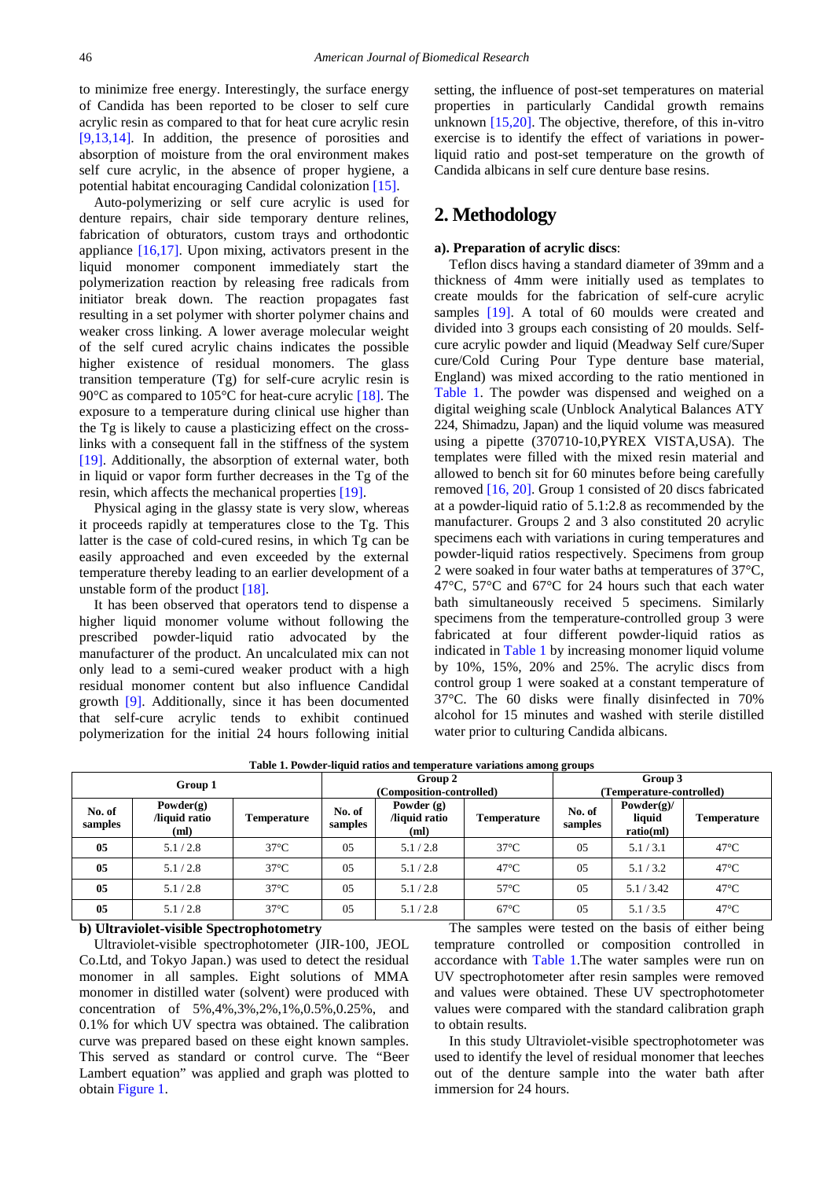to minimize free energy. Interestingly, the surface energy of Candida has been reported to be closer to self cure acrylic resin as compared to that for heat cure acrylic resin [\[9,13,14\].](#page-6-6) In addition, the presence of porosities and absorption of moisture from the oral environment makes self cure acrylic, in the absence of proper hygiene, a potential habitat encouraging Candidal colonization [\[15\].](#page-6-7)

Auto-polymerizing or self cure acrylic is used for denture repairs, chair side temporary denture relines, fabrication of obturators, custom trays and orthodontic appliance [\[16,17\].](#page-6-8) Upon mixing, activators present in the liquid monomer component immediately start the polymerization reaction by releasing free radicals from initiator break down. The reaction propagates fast resulting in a set polymer with shorter polymer chains and weaker cross linking. A lower average molecular weight of the self cured acrylic chains indicates the possible higher existence of residual monomers. The glass transition temperature (Tg) for self-cure acrylic resin is 90<sup>o</sup>C as compared to 105<sup>o</sup>C for heat-cure acrylic [\[18\].](#page-6-9) The exposure to a temperature during clinical use higher than the Tg is likely to cause a plasticizing effect on the crosslinks with a consequent fall in the stiffness of the system [\[19\].](#page-6-10) Additionally, the absorption of external water, both in liquid or vapor form further decreases in the Tg of the resin, which affects the mechanical properties [\[19\].](#page-6-10)

Physical aging in the glassy state is very slow, whereas it proceeds rapidly at temperatures close to the Tg. This latter is the case of cold-cured resins, in which Tg can be easily approached and even exceeded by the external temperature thereby leading to an earlier development of a unstable form of the product [\[18\].](#page-6-9)

It has been observed that operators tend to dispense a higher liquid monomer volume without following the prescribed powder-liquid ratio advocated by the manufacturer of the product. An uncalculated mix can not only lead to a semi-cured weaker product with a high residual monomer content but also influence Candidal growth [\[9\].](#page-6-6) Additionally, since it has been documented that self-cure acrylic tends to exhibit continued polymerization for the initial 24 hours following initial setting, the influence of post-set temperatures on material properties in particularly Candidal growth remains unknown [\[15,20\].](#page-6-7) The objective, therefore, of this in-vitro exercise is to identify the effect of variations in powerliquid ratio and post-set temperature on the growth of Candida albicans in self cure denture base resins.

# **2. Methodology**

## **a). Preparation of acrylic discs**:

Teflon discs having a standard diameter of 39mm and a thickness of 4mm were initially used as templates to create moulds for the fabrication of self-cure acrylic samples [\[19\].](#page-6-10) A total of 60 moulds were created and divided into 3 groups each consisting of 20 moulds. Selfcure acrylic powder and liquid (Meadway Self cure/Super cure/Cold Curing Pour Type denture base material, England) was mixed according to the ratio mentioned in [Table 1.](#page-1-0) The powder was dispensed and weighed on a digital weighing scale (Unblock Analytical Balances ATY 224, Shimadzu, Japan) and the liquid volume was measured using a pipette (370710-10,PYREX VISTA,USA). The templates were filled with the mixed resin material and allowed to bench sit for 60 minutes before being carefully removed [\[16, 20\].](#page-6-8) Group 1 consisted of 20 discs fabricated at a powder-liquid ratio of 5.1:2.8 as recommended by the manufacturer. Groups 2 and 3 also constituted 20 acrylic specimens each with variations in curing temperatures and powder-liquid ratios respectively. Specimens from group 2 were soaked in four water baths at temperatures of 37°C, 47°C, 57°C and 67°C for 24 hours such that each water bath simultaneously received 5 specimens. Similarly specimens from the temperature-controlled group 3 were fabricated at four different powder-liquid ratios as indicated in [Table 1](#page-1-0) by increasing monomer liquid volume by 10%, 15%, 20% and 25%. The acrylic discs from control group 1 were soaked at a constant temperature of 37°C. The 60 disks were finally disinfected in 70% alcohol for 15 minutes and washed with sterile distilled water prior to culturing Candida albicans.

<span id="page-1-0"></span>

|                | Group 1                              |                    |                   | Group 2<br>(Composition-controlled)  |                    | Group 3<br>(Temperature-controlled) |                                       |                    |  |
|----------------|--------------------------------------|--------------------|-------------------|--------------------------------------|--------------------|-------------------------------------|---------------------------------------|--------------------|--|
| o. of<br>nples | Powder $(g)$<br>liquid ratio<br>(ml) | <b>Temperature</b> | No. of<br>samples | Powder $(g)$<br>liquid ratio<br>(ml) | <b>Temperature</b> | No. of<br>samples                   | Powder $(g)$ /<br>liquid<br>ratio(ml) | <b>Temperature</b> |  |
| 05             | 5.1/2.8                              | $37^{\circ}$ C     | 05                | 5.1/2.8                              | $37^{\circ}$ C     | 05                                  | 5.1/3.1                               | $47^{\circ}$ C     |  |
|                |                                      |                    |                   |                                      |                    |                                     |                                       |                    |  |

**05** 5.1/2.8  $\vert$  37°C  $\vert$  05 5.1/2.8 5.1/2.8 5.1/3.2 47°C **05** 5.1 / 2.8 5 5.1 / 37°C  $\begin{array}{|c|c|c|c|c|c|c|c|} \hline \end{array}$  5.1 / 3.42 5.1  $\begin{array}{|c|c|c|c|c|c|c|} \hline \end{array}$  47°C **05** 5.1 / 2.8 37°C 05 5.1 / 2.8 67°C 05 5.1 / 3.5 47°C

**Table 1. Powder-liquid ratios and temperature variations among groups**

## **b) Ultraviolet-visible Spectrophotometry**

 $N$ **samples**

Ultraviolet-visible spectrophotometer (JIR-100, JEOL Co.Ltd, and Tokyo Japan.) was used to detect the residual monomer in all samples. Eight solutions of MMA monomer in distilled water (solvent) were produced with concentration of 5%,4%,3%,2%,1%,0.5%,0.25%, and 0.1% for which UV spectra was obtained. The calibration curve was prepared based on these eight known samples. This served as standard or control curve. The "Beer Lambert equation" was applied and graph was plotted to obtain Figure 1.

The samples were tested on the basis of either being temprature controlled or composition controlled in accordance with [Table 1.](#page-1-0)The water samples were run on UV spectrophotometer after resin samples were removed and values were obtained. These UV spectrophotometer values were compared with the standard calibration graph to obtain results.

In this study Ultraviolet-visible spectrophotometer was used to identify the level of residual monomer that leeches out of the denture sample into the water bath after immersion for 24 hours.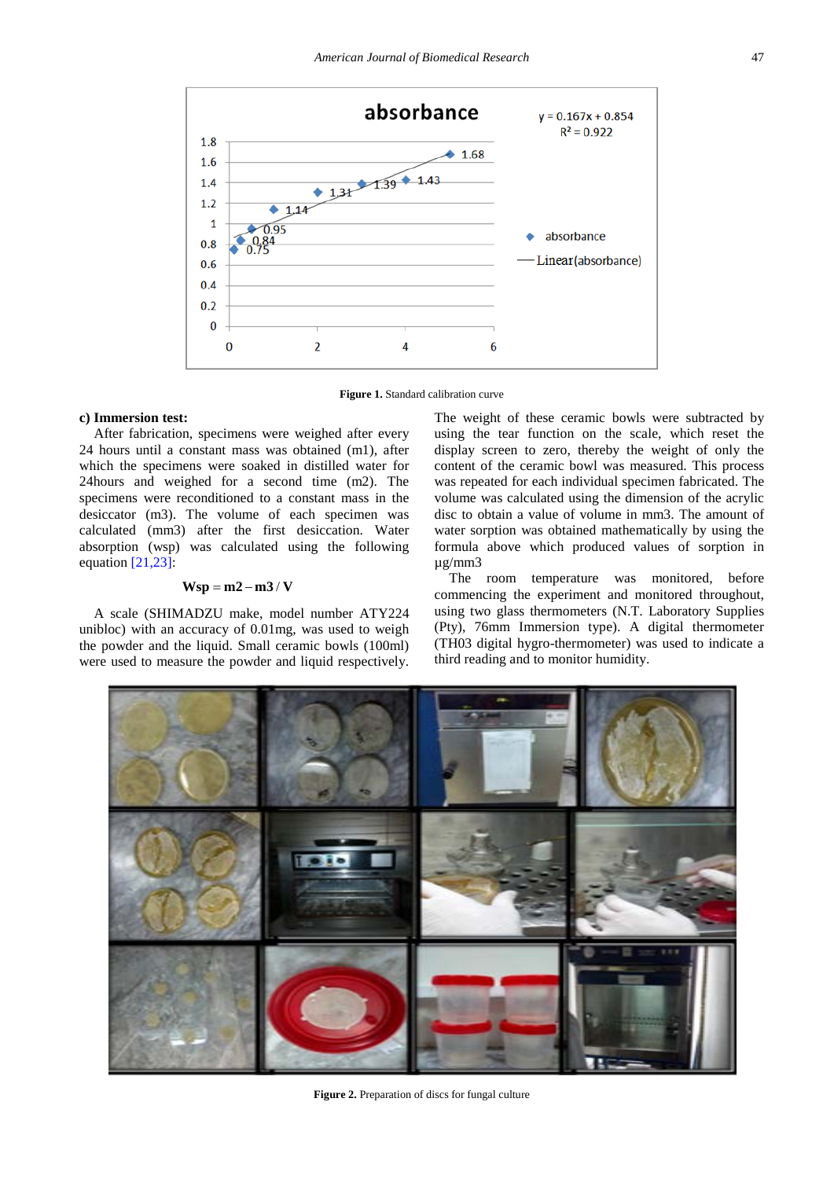

**Figure 1.** Standard calibration curve

#### **c) Immersion test:**

After fabrication, specimens were weighed after every 24 hours until a constant mass was obtained (m1), after which the specimens were soaked in distilled water for 24hours and weighed for a second time (m2). The specimens were reconditioned to a constant mass in the desiccator (m3). The volume of each specimen was calculated (mm3) after the first desiccation. Water absorption (wsp) was calculated using the following equation  $[21,23]$ :

#### $Wsp = m2 - m3 / V$

A scale (SHIMADZU make, model number ATY224 unibloc) with an accuracy of 0.01mg, was used to weigh the powder and the liquid. Small ceramic bowls (100ml) were used to measure the powder and liquid respectively. The weight of these ceramic bowls were subtracted by using the tear function on the scale, which reset the display screen to zero, thereby the weight of only the content of the ceramic bowl was measured. This process was repeated for each individual specimen fabricated. The volume was calculated using the dimension of the acrylic disc to obtain a value of volume in mm3. The amount of water sorption was obtained mathematically by using the formula above which produced values of sorption in µg/mm3

The room temperature was monitored, before commencing the experiment and monitored throughout, using two glass thermometers (N.T. Laboratory Supplies (Pty), 76mm Immersion type). A digital thermometer (TH03 digital hygro-thermometer) was used to indicate a third reading and to monitor humidity.



**Figure 2.** Preparation of discs for fungal culture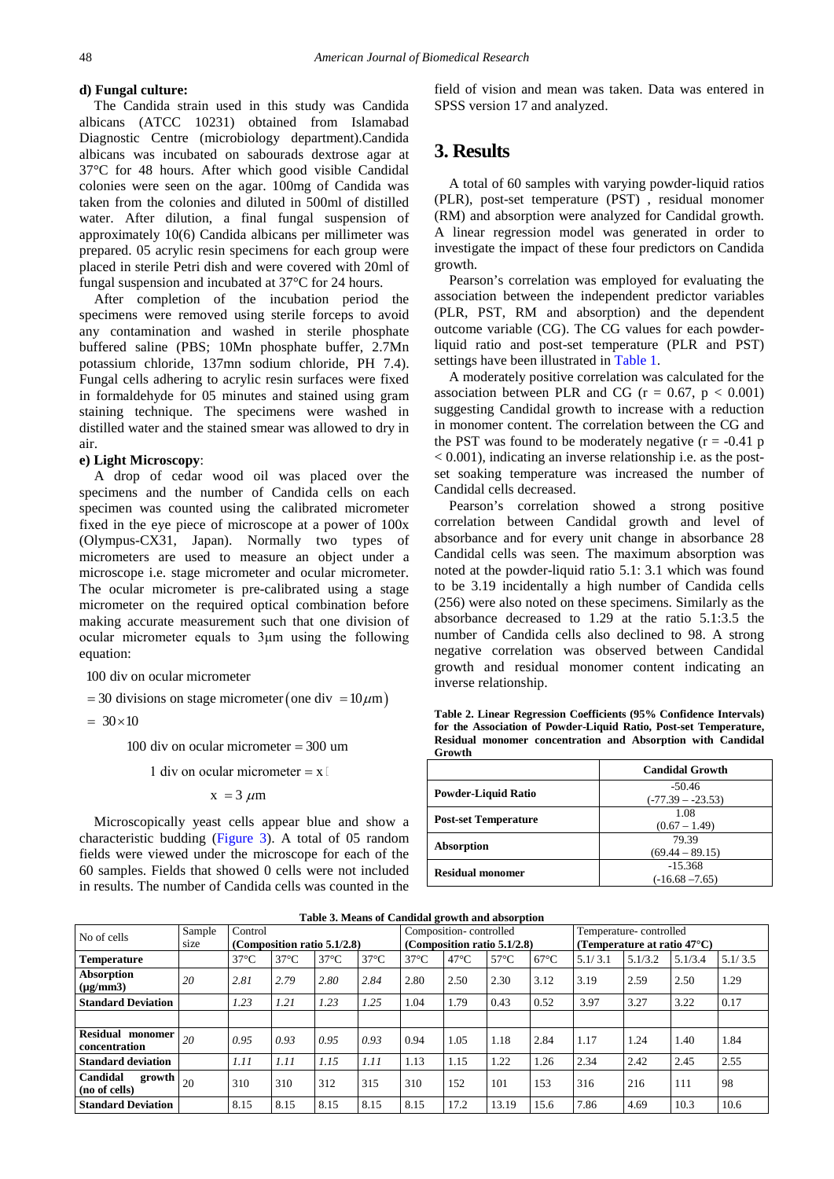## **d) Fungal culture:**

The Candida strain used in this study was Candida albicans (ATCC 10231) obtained from Islamabad Diagnostic Centre (microbiology department).Candida albicans was incubated on sabourads dextrose agar at 37°C for 48 hours. After which good visible Candidal colonies were seen on the agar. 100mg of Candida was taken from the colonies and diluted in 500ml of distilled water. After dilution, a final fungal suspension of approximately 10(6) Candida albicans per millimeter was prepared. 05 acrylic resin specimens for each group were placed in sterile Petri dish and were covered with 20ml of fungal suspension and incubated at 37°C for 24 hours.

After completion of the incubation period the specimens were removed using sterile forceps to avoid any contamination and washed in sterile phosphate buffered saline (PBS; 10Mn phosphate buffer, 2.7Mn potassium chloride, 137mn sodium chloride, PH 7.4). Fungal cells adhering to acrylic resin surfaces were fixed in formaldehyde for 05 minutes and stained using gram staining technique. The specimens were washed in distilled water and the stained smear was allowed to dry in air.

#### **e) Light Microscopy**:

A drop of cedar wood oil was placed over the specimens and the number of Candida cells on each specimen was counted using the calibrated micrometer fixed in the eye piece of microscope at a power of 100x (Olympus-CX31, Japan). Normally two types of micrometers are used to measure an object under a microscope i.e. stage micrometer and ocular micrometer. The ocular micrometer is pre-calibrated using a stage micrometer on the required optical combination before making accurate measurement such that one division of ocular micrometer equals to 3um using the following equation:

100 div on ocular micrometer

 $= 30$  divisions on stage micrometer (one div  $= 10 \mu m$ )

 $= 30 \times 10$ 

100 div on ocular micrometer  $= 300$  um

1 div on ocular micrometer  $= x$ 

 $x = 3 \mu m$ 

Microscopically yeast cells appear blue and show a characteristic budding [\(Figure 3\)](#page-4-0). A total of 05 random fields were viewed under the microscope for each of the 60 samples. Fields that showed 0 cells were not included in results. The number of Candida cells was counted in the field of vision and mean was taken. Data was entered in SPSS version 17 and analyzed.

# **3. Results**

A total of 60 samples with varying powder-liquid ratios (PLR), post-set temperature (PST) , residual monomer (RM) and absorption were analyzed for Candidal growth. A linear regression model was generated in order to investigate the impact of these four predictors on Candida growth.

Pearson's correlation was employed for evaluating the association between the independent predictor variables (PLR, PST, RM and absorption) and the dependent outcome variable (CG). The CG values for each powderliquid ratio and post-set temperature (PLR and PST) settings have been illustrated in [Table 1.](#page-1-0)

A moderately positive correlation was calculated for the association between PLR and CG ( $r = 0.67$ ,  $p < 0.001$ ) suggesting Candidal growth to increase with a reduction in monomer content. The correlation between the CG and the PST was found to be moderately negative  $(r = -0.41 \text{ p})$  $< 0.001$ ), indicating an inverse relationship i.e. as the postset soaking temperature was increased the number of Candidal cells decreased.

Pearson's correlation showed a strong positive correlation between Candidal growth and level of absorbance and for every unit change in absorbance 28 Candidal cells was seen. The maximum absorption was noted at the powder-liquid ratio 5.1: 3.1 which was found to be 3.19 incidentally a high number of Candida cells (256) were also noted on these specimens. Similarly as the absorbance decreased to 1.29 at the ratio 5.1:3.5 the number of Candida cells also declined to 98. A strong negative correlation was observed between Candidal growth and residual monomer content indicating an inverse relationship.

**Table 2. Linear Regression Coefficients (95% Confidence Intervals) for the Association of Powder-Liquid Ratio, Post-set Temperature, Residual monomer concentration and Absorption with Candidal Growth**

<span id="page-3-0"></span>

|                             | <b>Candidal Growth</b>          |  |  |  |  |
|-----------------------------|---------------------------------|--|--|--|--|
| <b>Powder-Liquid Ratio</b>  | $-50.46$<br>$(-77.39 - -23.53)$ |  |  |  |  |
| <b>Post-set Temperature</b> | 1.08<br>$(0.67 - 1.49)$         |  |  |  |  |
| Absorption                  | 79.39<br>$(69.44 - 89.15)$      |  |  |  |  |
| <b>Residual monomer</b>     | $-15.368$<br>$(-16.68 - 7.65)$  |  |  |  |  |

| Table 5: means of candidal growth and absorption           |        |                                |                |                |                                |                        |                |                                        |                        |         |         |         |         |
|------------------------------------------------------------|--------|--------------------------------|----------------|----------------|--------------------------------|------------------------|----------------|----------------------------------------|------------------------|---------|---------|---------|---------|
| No of cells                                                | Sample | Control                        |                |                |                                | Composition-controlled |                |                                        | Temperature-controlled |         |         |         |         |
|                                                            | size   | (Composition ratio $5.1/2.8$ ) |                |                | (Composition ratio $5.1/2.8$ ) |                        |                | (Temperature at ratio 47 $^{\circ}$ C) |                        |         |         |         |         |
| <b>Temperature</b>                                         |        | $37^{\circ}$ C                 | $37^{\circ}$ C | $37^{\circ}$ C | $37^{\circ}$ C                 | $37^{\circ}$ C         | $47^{\circ}$ C | $57^{\circ}$ C                         | $67^{\circ}$ C         | 5.1/3.1 | 5.1/3.2 | 5.1/3.4 | 5.1/3.5 |
| Absorption<br>$(\mu g/mm3)$                                | 20     | 2.81                           | 2.79           | 2.80           | 2.84                           | 2.80                   | 2.50           | 2.30                                   | 3.12                   | 3.19    | 2.59    | 2.50    | 1.29    |
| <b>Standard Deviation</b>                                  |        | 1.23                           | 1.21           | 1.23           | 1.25                           | 1.04                   | 1.79           | 0.43                                   | 0.52                   | 3.97    | 3.27    | 3.22    | 0.17    |
|                                                            |        |                                |                |                |                                |                        |                |                                        |                        |         |         |         |         |
| <b>Residual</b><br>monomer<br><b>concentration</b>         | 20     | 0.95                           | 0.93           | 0.95           | 0.93                           | 0.94                   | 1.05           | 1.18                                   | 2.84                   | 1.17    | 1.24    | 1.40    | 1.84    |
| <b>Standard deviation</b>                                  |        | 1.11                           | 1.11           | 1.15           | 1.11                           | 1.13                   | 1.15           | 1.22                                   | 1.26                   | 2.34    | 2.42    | 2.45    | 2.55    |
| Candidal<br>$\overline{\text{growth}}$ 20<br>(no of cells) |        | 310                            | 310            | 312            | 315                            | 310                    | 152            | 101                                    | 153                    | 316     | 216     | 111     | 98      |
| <b>Standard Deviation</b>                                  |        | 8.15                           | 8.15           | 8.15           | 8.15                           | 8.15                   | 17.2           | 13.19                                  | 15.6                   | 7.86    | 4.69    | 10.3    | 10.6    |

**Table 3. Means of Candidal growth and absorption**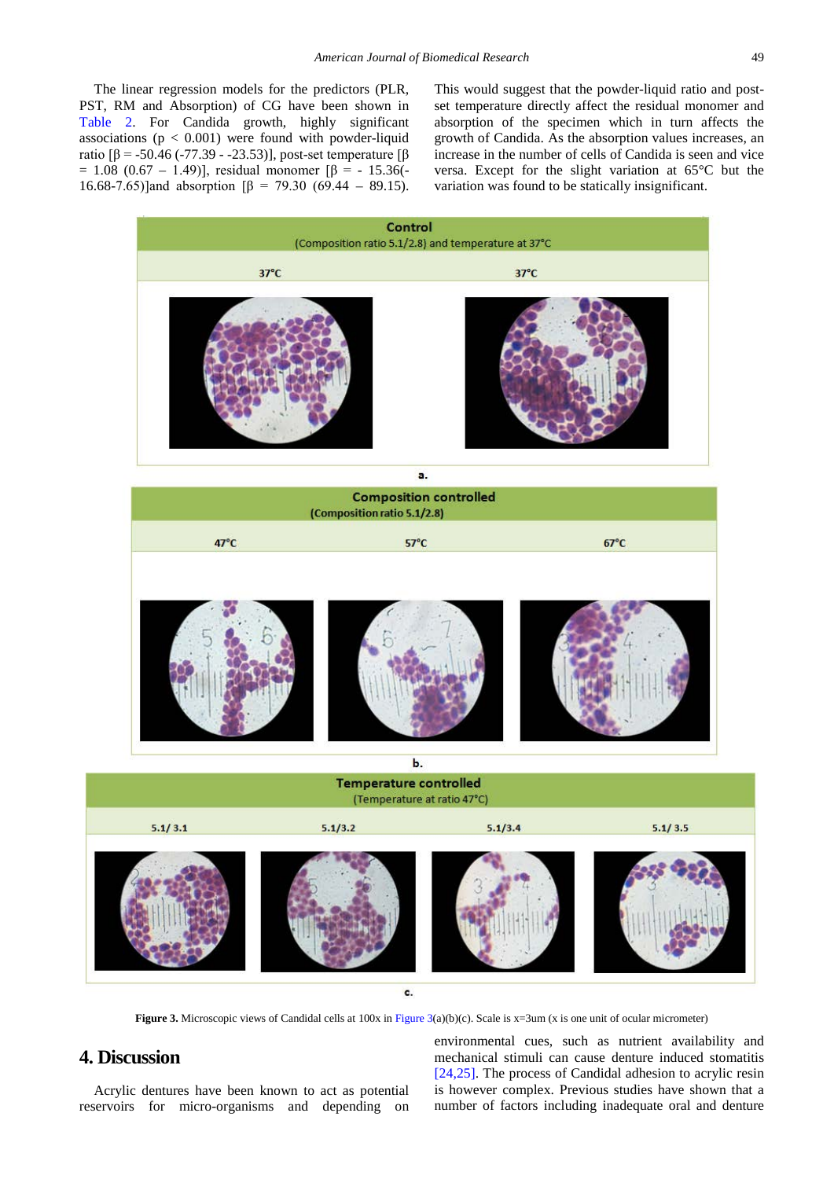The linear regression models for the predictors (PLR, PST, RM and Absorption) of CG have been shown in [Table 2.](#page-3-0) For Candida growth, highly significant associations ( $p < 0.001$ ) were found with powder-liquid ratio  $\lbrack \beta = -50.46 (-77.39 - -23.53) \rbrack$ , post-set temperature  $\lbrack \beta \rbrack$ =  $1.08$  (0.67 – 1.49)], residual monomer  $\beta$  = - 15.36(-16.68-7.65)] and absorption  $\beta$  = 79.30 (69.44 – 89.15).

This would suggest that the powder-liquid ratio and postset temperature directly affect the residual monomer and absorption of the specimen which in turn affects the growth of Candida. As the absorption values increases, an increase in the number of cells of Candida is seen and vice versa. Except for the slight variation at 65°C but the variation was found to be statically insignificant.

<span id="page-4-0"></span>

**Figure 3.** Microscopic views of Candidal cells at 100x i[n Figure 3\(](#page-4-0)a)(b)(c). Scale is x=3um (x is one unit of ocular micrometer)

# **4. Discussion**

Acrylic dentures have been known to act as potential reservoirs for micro-organisms and depending on environmental cues, such as nutrient availability and mechanical stimuli can cause denture induced stomatitis [\[24,25\].](#page-7-1) The process of Candidal adhesion to acrylic resin is however complex. Previous studies have shown that a number of factors including inadequate oral and denture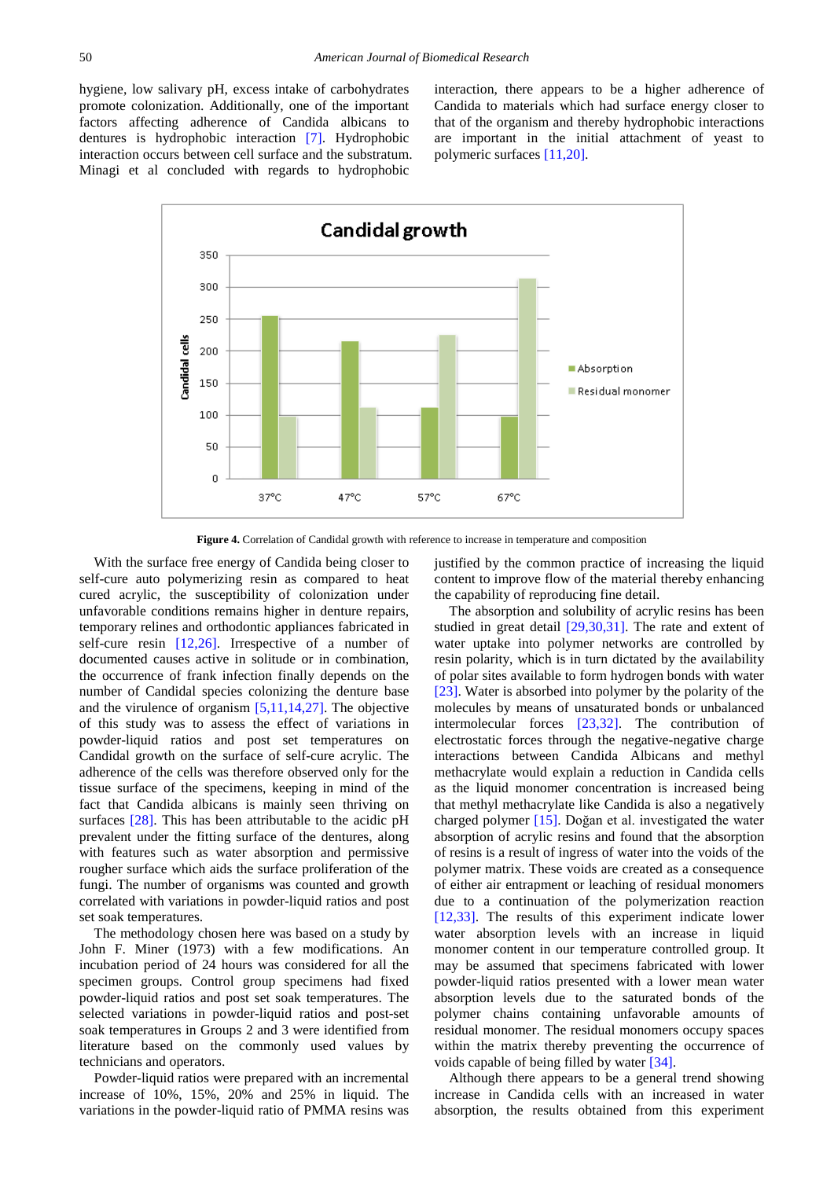hygiene, low salivary pH, excess intake of carbohydrates promote colonization. Additionally, one of the important factors affecting adherence of Candida albicans to dentures is hydrophobic interaction [\[7\].](#page-6-11) Hydrophobic interaction occurs between cell surface and the substratum. Minagi et al concluded with regards to hydrophobic

interaction, there appears to be a higher adherence of Candida to materials which had surface energy closer to that of the organism and thereby hydrophobic interactions are important in the initial attachment of yeast to polymeric surfaces [\[11,20\].](#page-6-5)



**Figure 4.** Correlation of Candidal growth with reference to increase in temperature and composition

With the surface free energy of Candida being closer to self-cure auto polymerizing resin as compared to heat cured acrylic, the susceptibility of colonization under unfavorable conditions remains higher in denture repairs, temporary relines and orthodontic appliances fabricated in self-cure resin [\[12,26\].](#page-6-12) Irrespective of a number of documented causes active in solitude or in combination, the occurrence of frank infection finally depends on the number of Candidal species colonizing the denture base and the virulence of organism [\[5,11,14,27\].](#page-6-3) The objective of this study was to assess the effect of variations in powder-liquid ratios and post set temperatures on Candidal growth on the surface of self-cure acrylic. The adherence of the cells was therefore observed only for the tissue surface of the specimens, keeping in mind of the fact that Candida albicans is mainly seen thriving on surfaces [\[28\].](#page-7-2) This has been attributable to the acidic pH prevalent under the fitting surface of the dentures, along with features such as water absorption and permissive rougher surface which aids the surface proliferation of the fungi. The number of organisms was counted and growth correlated with variations in powder-liquid ratios and post set soak temperatures.

The methodology chosen here was based on a study by John F. Miner (1973) with a few modifications. An incubation period of 24 hours was considered for all the specimen groups. Control group specimens had fixed powder-liquid ratios and post set soak temperatures. The selected variations in powder-liquid ratios and post-set soak temperatures in Groups 2 and 3 were identified from literature based on the commonly used values by technicians and operators.

Powder-liquid ratios were prepared with an incremental increase of 10%, 15%, 20% and 25% in liquid. The variations in the powder-liquid ratio of PMMA resins was

justified by the common practice of increasing the liquid content to improve flow of the material thereby enhancing the capability of reproducing fine detail.

The absorption and solubility of acrylic resins has been studied in great detail [\[29,30,31\].](#page-7-3) The rate and extent of water uptake into polymer networks are controlled by resin polarity, which is in turn dictated by the availability of polar sites available to form hydrogen bonds with water [\[23\].](#page-7-4) Water is absorbed into polymer by the polarity of the molecules by means of unsaturated bonds or unbalanced intermolecular forces [\[23,32\].](#page-7-4) The contribution of electrostatic forces through the negative-negative charge interactions between Candida Albicans and methyl methacrylate would explain a reduction in Candida cells as the liquid monomer concentration is increased being that methyl methacrylate like Candida is also a negatively charged polymer  $[15]$ . Doğan et al. investigated the water absorption of acrylic resins and found that the absorption of resins is a result of ingress of water into the voids of the polymer matrix. These voids are created as a consequence of either air entrapment or leaching of residual monomers due to a continuation of the polymerization reaction [\[12,33\].](#page-6-12) The results of this experiment indicate lower water absorption levels with an increase in liquid monomer content in our temperature controlled group. It may be assumed that specimens fabricated with lower powder-liquid ratios presented with a lower mean water absorption levels due to the saturated bonds of the polymer chains containing unfavorable amounts of residual monomer. The residual monomers occupy spaces within the matrix thereby preventing the occurrence of voids capable of being filled by water [\[34\].](#page-7-5) 

Although there appears to be a general trend showing increase in Candida cells with an increased in water absorption, the results obtained from this experiment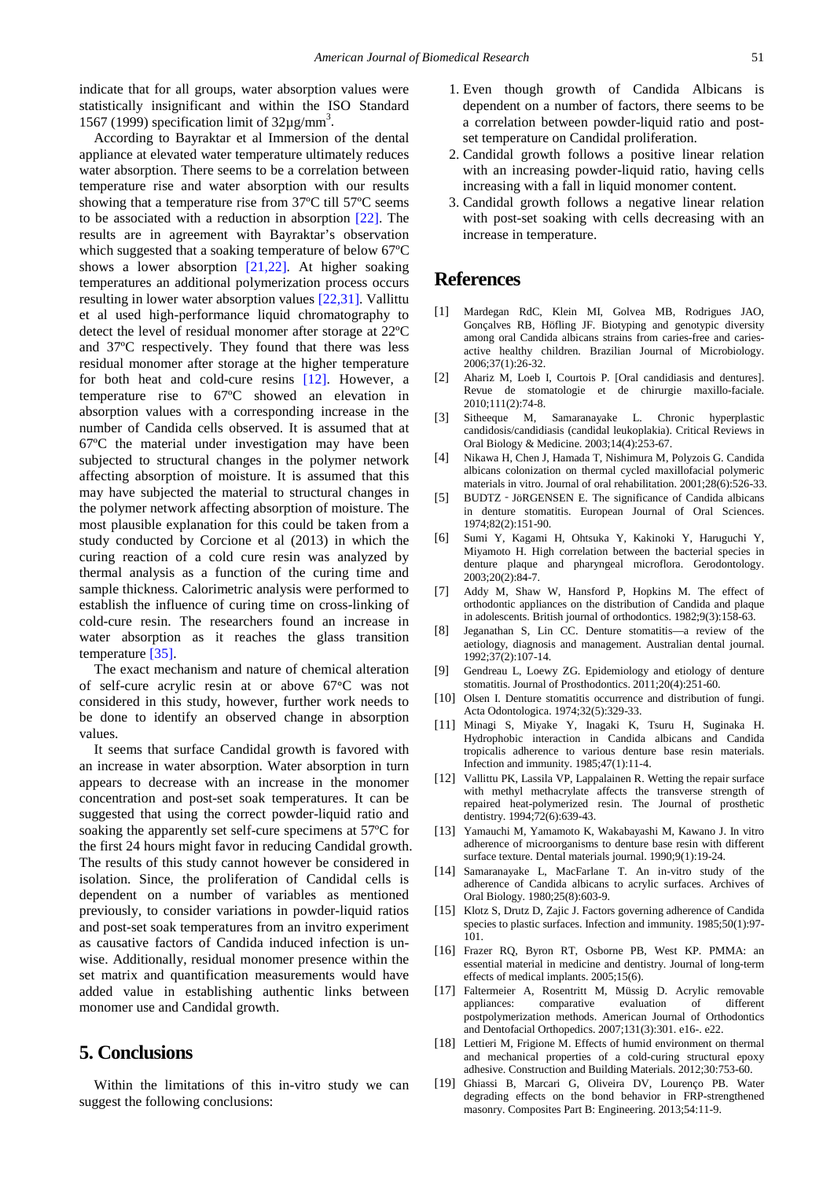indicate that for all groups, water absorption values were statistically insignificant and within the ISO Standard 1567 (1999) specification limit of  $32\mu$ g/mm<sup>3</sup>.

According to Bayraktar et al Immersion of the dental appliance at elevated water temperature ultimately reduces water absorption. There seems to be a correlation between temperature rise and water absorption with our results showing that a temperature rise from 37ºC till 57ºC seems to be associated with a reduction in absorption [\[22\].](#page-7-6) The results are in agreement with Bayraktar's observation which suggested that a soaking temperature of below 67ºC shows a lower absorption [\[21,22\].](#page-7-0) At higher soaking temperatures an additional polymerization process occurs resulting in lower water absorption values [\[22,31\].](#page-7-6) Vallittu et al used high-performance liquid chromatography to detect the level of residual monomer after storage at 22ºC and 37ºC respectively. They found that there was less residual monomer after storage at the higher temperature for both heat and cold-cure resins [\[12\].](#page-6-12) However, a temperature rise to 67ºC showed an elevation in absorption values with a corresponding increase in the number of Candida cells observed. It is assumed that at 67ºC the material under investigation may have been subjected to structural changes in the polymer network affecting absorption of moisture. It is assumed that this may have subjected the material to structural changes in the polymer network affecting absorption of moisture. The most plausible explanation for this could be taken from a study conducted by Corcione et al (2013) in which the curing reaction of a cold cure resin was analyzed by thermal analysis as a function of the curing time and sample thickness. Calorimetric analysis were performed to establish the influence of curing time on cross-linking of cold-cure resin. The researchers found an increase in water absorption as it reaches the glass transition temperature [\[35\].](#page-7-7)

The exact mechanism and nature of chemical alteration of self-cure acrylic resin at or above 67**°**C was not considered in this study, however, further work needs to be done to identify an observed change in absorption values.

It seems that surface Candidal growth is favored with an increase in water absorption. Water absorption in turn appears to decrease with an increase in the monomer concentration and post-set soak temperatures. It can be suggested that using the correct powder-liquid ratio and soaking the apparently set self-cure specimens at 57ºC for the first 24 hours might favor in reducing Candidal growth. The results of this study cannot however be considered in isolation. Since, the proliferation of Candidal cells is dependent on a number of variables as mentioned previously, to consider variations in powder-liquid ratios and post-set soak temperatures from an invitro experiment as causative factors of Candida induced infection is unwise. Additionally, residual monomer presence within the set matrix and quantification measurements would have added value in establishing authentic links between monomer use and Candidal growth.

## **5. Conclusions**

Within the limitations of this in-vitro study we can suggest the following conclusions:

- 1. Even though growth of Candida Albicans is dependent on a number of factors, there seems to be a correlation between powder-liquid ratio and postset temperature on Candidal proliferation.
- 2. Candidal growth follows a positive linear relation with an increasing powder-liquid ratio, having cells increasing with a fall in liquid monomer content.
- 3. Candidal growth follows a negative linear relation with post-set soaking with cells decreasing with an increase in temperature.

## **References**

- <span id="page-6-0"></span>[1] Mardegan RdC, Klein MI, Golvea MB, Rodrigues JAO, Gonçalves RB, Höfling JF. Biotyping and genotypic diversity among oral Candida albicans strains from caries-free and cariesactive healthy children. Brazilian Journal of Microbiology. 2006;37(1):26-32.
- <span id="page-6-1"></span>[2] Ahariz M, Loeb I, Courtois P. [Oral candidiasis and dentures]. Revue de stomatologie et de chirurgie maxillo-faciale. 2010;111(2):74-8.
- <span id="page-6-2"></span>[3] Sitheeque M, Samaranayake L. Chronic hyperplastic candidosis/candidiasis (candidal leukoplakia). Critical Reviews in Oral Biology & Medicine. 2003;14(4):253-67.
- [4] Nikawa H, Chen J, Hamada T, Nishimura M, Polyzois G. Candida albicans colonization on thermal cycled maxillofacial polymeric materials in vitro. Journal of oral rehabilitation. 2001;28(6):526-33.
- <span id="page-6-3"></span>[5] BUDTZ‐JöRGENSEN E. The significance of Candida albicans in denture stomatitis. European Journal of Oral Sciences. 1974;82(2):151-90.
- [6] Sumi Y, Kagami H, Ohtsuka Y, Kakinoki Y, Haruguchi Y, Miyamoto H. High correlation between the bacterial species in denture plaque and pharyngeal microflora. Gerodontology. 2003;20(2):84-7.
- <span id="page-6-11"></span>[7] Addy M, Shaw W, Hansford P, Hopkins M. The effect of orthodontic appliances on the distribution of Candida and plaque in adolescents. British journal of orthodontics. 1982;9(3):158-63.
- <span id="page-6-4"></span>[8] Jeganathan S, Lin CC. Denture stomatitis—a review of the aetiology, diagnosis and management. Australian dental journal. 1992;37(2):107-14.
- <span id="page-6-6"></span>Gendreau L, Loewy ZG. Epidemiology and etiology of denture stomatitis. Journal of Prosthodontics. 2011;20(4):251-60.
- [10] Olsen I. Denture stomatitis occurrence and distribution of fungi. Acta Odontologica. 1974;32(5):329-33.
- <span id="page-6-5"></span>[11] Minagi S, Miyake Y, Inagaki K, Tsuru H, Suginaka H. Hydrophobic interaction in Candida albicans and Candida tropicalis adherence to various denture base resin materials. Infection and immunity. 1985;47(1):11-4.
- <span id="page-6-12"></span>[12] Vallittu PK, Lassila VP, Lappalainen R. Wetting the repair surface with methyl methacrylate affects the transverse strength of repaired heat-polymerized resin. The Journal of prosthetic dentistry. 1994;72(6):639-43.
- [13] Yamauchi M, Yamamoto K, Wakabayashi M, Kawano J. In vitro adherence of microorganisms to denture base resin with different surface texture. Dental materials journal. 1990;9(1):19-24.
- [14] Samaranayake L, MacFarlane T. An in-vitro study of the adherence of Candida albicans to acrylic surfaces. Archives of Oral Biology. 1980;25(8):603-9.
- <span id="page-6-7"></span>[15] Klotz S, Drutz D, Zajic J. Factors governing adherence of Candida species to plastic surfaces. Infection and immunity. 1985;50(1):97- 101.
- <span id="page-6-8"></span>[16] Frazer RQ, Byron RT, Osborne PB, West KP. PMMA: an essential material in medicine and dentistry. Journal of long-term effects of medical implants. 2005;15(6).
- [17] Faltermeier A, Rosentritt M, Müssig D. Acrylic removable comparative evaluation of different postpolymerization methods. American Journal of Orthodontics and Dentofacial Orthopedics. 2007;131(3):301. e16-. e22.
- <span id="page-6-9"></span>[18] Lettieri M, Frigione M. Effects of humid environment on thermal and mechanical properties of a cold-curing structural epoxy adhesive. Construction and Building Materials. 2012;30:753-60.
- <span id="page-6-10"></span>[19] Ghiassi B, Marcari G, Oliveira DV, Lourenço PB. Water degrading effects on the bond behavior in FRP-strengthened masonry. Composites Part B: Engineering. 2013;54:11-9.